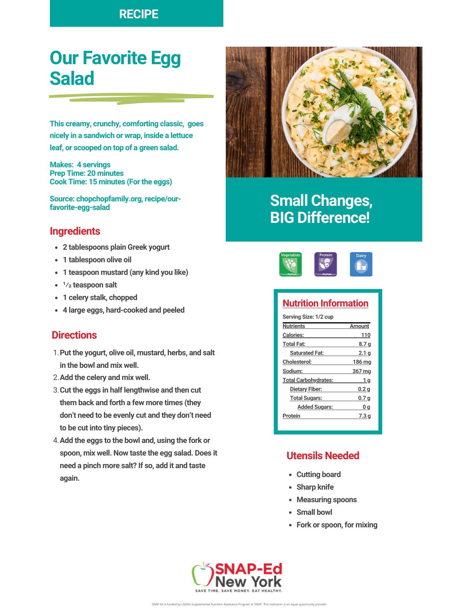### **RECIPE**

# **Our Favorite Egg Salad**

**This creamy, crunchy, comforting classic, goes nicely in a sandwich or wrap, inside a lettuce leaf, or scooped on top of a green salad.**

**Makes: 4 servings Prep Time: 20 minutes Cook Time: 15 minutes (For the eggs)**

**Source: chopchopfamily.org, recipe/ourfavorite-egg-salad**

#### **Ingredients**

- **2 tablespoons plain Greek yogurt**
- **1 tablespoon olive oil**
- **1 teaspoon mustard (any kind you like)**
- **1⁄2 teaspoon salt**
- **1 celery stalk, chopped**
- **4 large eggs, hard-cooked and peeled**

#### **Directions**

- **Put the yogurt, olive oil, mustard, herbs, and salt** 1. **in the bowl and mix well.**
- **Add the celery and mix well.** 2.
- **Cut the eggs in half lengthwise and then cut** 3. **them back and forth a few more times (they don't need to be evenly cut and they don't need to be cut into tiny pieces).**
- **Add the eggs to the bowl and, using the fork or** 4. **spoon, mix well. Now taste the egg salad. Does it need a pinch more salt? If so, add it and taste again.**



## **Small Changes, BIG Difference!**



#### **Nutrition Information**

| Serving Size: 1/2 cup       |                  |
|-----------------------------|------------------|
| <b>Nutrients</b>            | Amount           |
| <b>Calories:</b>            | 110              |
| <b>Total Fat:</b>           | 8.7 g            |
| <b>Saturated Fat:</b>       | 2.1 g            |
| <b>Cholesterol:</b>         | 186 ma           |
| Sodium:                     | 367 mg           |
| <b>Total Carbohydrates:</b> | 1 a              |
| Dietary Fiber:              | 0.2 <sub>q</sub> |
| <b>Total Sugars:</b>        | 0.7 q            |
| <b>Added Sugars:</b>        | 0 q              |
| Protein                     | 7.3 a            |
|                             |                  |

#### **Utensils Needed**

- **Cutting board**
- **Sharp knife**
- **Measuring spoons**
- **Small bowl**
- **Fork or spoon, for mixing**